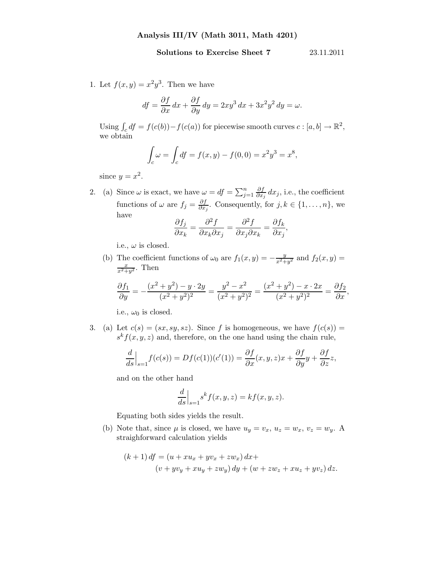## Solutions to Exercise Sheet 7 23.11.2011

1. Let  $f(x,y) = x^2y^3$ . Then we have

$$
df = \frac{\partial f}{\partial x} dx + \frac{\partial f}{\partial y} dy = 2xy^3 dx + 3x^2y^2 dy = \omega.
$$

Using  $\int_c df = f(c(b)) - f(c(a))$  for piecewise smooth curves  $c : [a, b] \to \mathbb{R}^2$ , we obtain

$$
\int_c \omega = \int_c df = f(x, y) - f(0, 0) = x^2 y^3 = x^8,
$$

since  $y = x^2$ .

2. (a) Since  $\omega$  is exact, we have  $\omega = df = \sum_{j=1}^{n}$ ∂f  $\frac{\partial J}{\partial x_j} dx_j$ , i.e., the coefficient functions of  $\omega$  are  $f_j = \frac{\partial f}{\partial x}$  $\frac{\partial J}{\partial x_j}$ . Consequently, for  $j, k \in \{1, \ldots, n\}$ , we have

$$
\frac{\partial f_j}{\partial x_k} = \frac{\partial^2 f}{\partial x_k \partial x_j} = \frac{\partial^2 f}{\partial x_j \partial x_k} = \frac{\partial f_k}{\partial x_j},
$$

i.e.,  $\omega$  is closed.

(b) The coefficient functions of  $\omega_0$  are  $f_1(x,y) = -\frac{y}{x^2+y^2}$  and  $f_2(x,y) =$  $\frac{x}{x^2+y^2}$ . Then

$$
\frac{\partial f_1}{\partial y} = -\frac{(x^2 + y^2) - y \cdot 2y}{(x^2 + y^2)^2} = \frac{y^2 - x^2}{(x^2 + y^2)^2} = \frac{(x^2 + y^2) - x \cdot 2x}{(x^2 + y^2)^2} = \frac{\partial f_2}{\partial x},
$$

i.e.,  $\omega_0$  is closed.

3. (a) Let  $c(s) = (sx, sy, sz)$ . Since f is homogeneous, we have  $f(c(s)) =$  $s^k f(x, y, z)$  and, therefore, on the one hand using the chain rule,

$$
\frac{d}{ds}\Big|_{s=1}f(c(s)) = Df(c(1))(c'(1)) = \frac{\partial f}{\partial x}(x, y, z)x + \frac{\partial f}{\partial y}y + \frac{\partial f}{\partial z}z,
$$

and on the other hand

$$
\frac{d}{ds}\Big|_{s=1} s^k f(x, y, z) = k f(x, y, z).
$$

Equating both sides yields the result.

(b) Note that, since  $\mu$  is closed, we have  $u_y = v_x$ ,  $u_z = w_x$ ,  $v_z = w_y$ . A straighforward calculation yields

$$
(k+1) df = (u + xu_x + yv_x + zw_x) dx +(v + yv_y + xu_y + zw_y) dy + (w + zw_z + xu_z + yv_z) dz.
$$